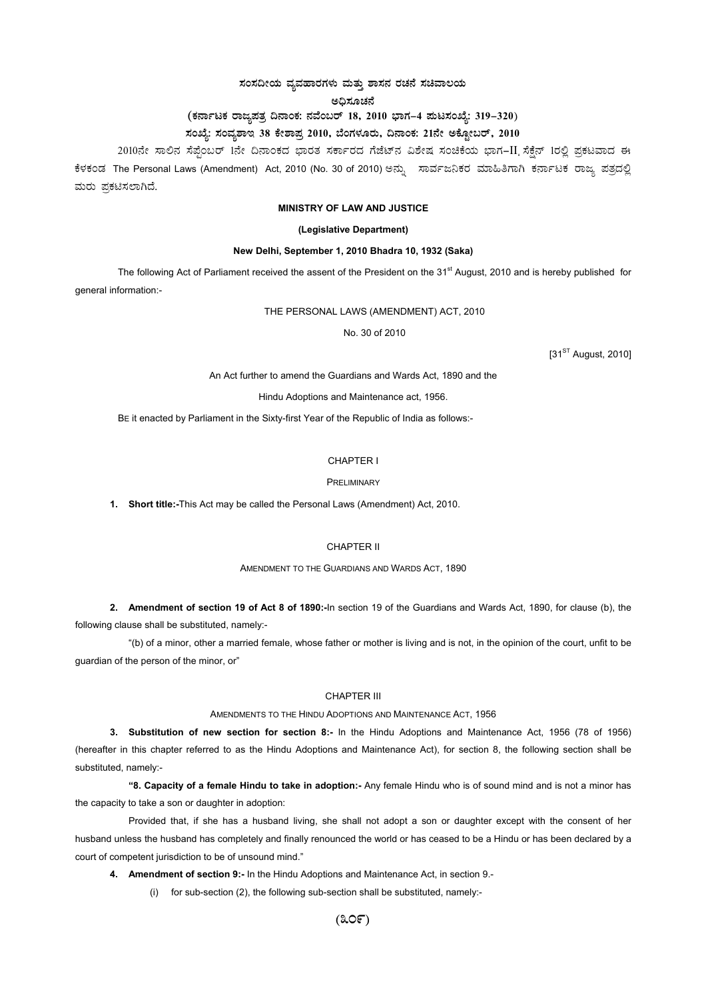# $\,$ ಸಂಸದೀಯ ವ್ಯವಹಾರಗಳು ಮತ್ತು ಶಾಸನ ರಚನೆ ಸಚಿವಾಲಯ

ಅಧಿಸೂಚನೆ

# (ಕರ್ನಾಟಕ ರಾಜ್ಯಪತ್ರ ದಿನಾಂಕ: ನವೆಂಬರ್ 18, 2010 ಭಾಗ–4 **ಮಟಸಂಖ್ಯೆ: 319–320**)

# ಸಂಖ್ಯೆ: ಸಂವ್ಯಶಾಇ 38 ಕೇಶಾಪ್ರ 2010, ಬೆಂಗಳೂರು, ದಿನಾಂಕ: 21ನೇ ಅಕ್ಟೋಬರ್, 2010

2010ನೇ ಸಾಲಿನ ಸೆಪ್ಟೆಂಬರ್ 1ನೇ ದಿನಾಂಕದ ಭಾರತ ಸರ್ಕಾರದ ಗೆಜೆಟ್ನ ವಿಶೇಷ ಸಂಚಿಕೆಯ ಭಾಗ–II ಸೆಕ್ಷೆನ್ 1ರಲ್ಲಿ ಪ್ರಕಟವಾದ ಈ ಕೆಳಕಂಡ The Personal Laws (Amendment) Act, 2010 (No. 30 of 2010) ಅನ್ನು ಸಾರ್ವಜನಿಕರ ಮಾಹಿತಿಗಾಗಿ ಕರ್ನಾಟಕ ರಾಜ್ಯ ಪತ್ರದಲ್ಲಿ ಮರು ಪ್ರಕಟಿಸಲಾಗಿದೆ.

## **MINISTRY OF LAW AND JUSTICE**

## **(Legislative Department)**

## **New Delhi, September 1, 2010 Bhadra 10, 1932 (Saka)**

The following Act of Parliament received the assent of the President on the 31<sup>st</sup> August, 2010 and is hereby published for general information:-

THE PERSONAL LAWS (AMENDMENT) ACT, 2010

No. 30 of 2010

 $[31<sup>ST</sup>$  August, 2010]

An Act further to amend the Guardians and Wards Act, 1890 and the

Hindu Adoptions and Maintenance act, 1956.

BE it enacted by Parliament in the Sixty-first Year of the Republic of India as follows:-

## CHAPTER I

#### PRELIMINARY

**1. Short title:-**This Act may be called the Personal Laws (Amendment) Act, 2010.

## CHAPTER II

## AMENDMENT TO THE GUARDIANS AND WARDS ACT, 1890

**2. Amendment of section 19 of Act 8 of 1890:-**In section 19 of the Guardians and Wards Act, 1890, for clause (b), the following clause shall be substituted, namely:-

"(b) of a minor, other a married female, whose father or mother is living and is not, in the opinion of the court, unfit to be guardian of the person of the minor, or"

## CHAPTER III

## AMENDMENTS TO THE HINDU ADOPTIONS AND MAINTENANCE ACT, 1956

**3. Substitution of new section for section 8:-** In the Hindu Adoptions and Maintenance Act, 1956 (78 of 1956) (hereafter in this chapter referred to as the Hindu Adoptions and Maintenance Act), for section 8, the following section shall be substituted, namely:-

 **"8. Capacity of a female Hindu to take in adoption:-** Any female Hindu who is of sound mind and is not a minor has the capacity to take a son or daughter in adoption:

Provided that, if she has a husband living, she shall not adopt a son or daughter except with the consent of her husband unless the husband has completely and finally renounced the world or has ceased to be a Hindu or has been declared by a court of competent jurisdiction to be of unsound mind."

**4. Amendment of section 9:-** In the Hindu Adoptions and Maintenance Act, in section 9.-

(i) for sub-section (2), the following sub-section shall be substituted, namely:-